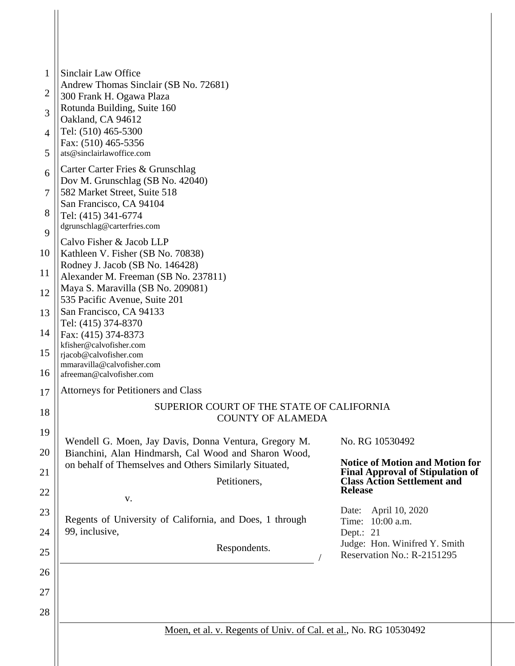| 1        | Sinclair Law Office                                                                                            |                                                                                                 |
|----------|----------------------------------------------------------------------------------------------------------------|-------------------------------------------------------------------------------------------------|
| 2        | Andrew Thomas Sinclair (SB No. 72681)                                                                          |                                                                                                 |
|          | 300 Frank H. Ogawa Plaza<br>Rotunda Building, Suite 160                                                        |                                                                                                 |
| 3        | Oakland, CA 94612                                                                                              |                                                                                                 |
| 4        | Tel: (510) 465-5300<br>Fax: (510) 465-5356                                                                     |                                                                                                 |
| 5        | ats@sinclairlawoffice.com                                                                                      |                                                                                                 |
| 6        | Carter Carter Fries & Grunschlag                                                                               |                                                                                                 |
| 7        | Dov M. Grunschlag (SB No. 42040)<br>582 Market Street, Suite 518                                               |                                                                                                 |
| 8        | San Francisco, CA 94104<br>Tel: (415) 341-6774                                                                 |                                                                                                 |
| 9        | dgrunschlag@carterfries.com                                                                                    |                                                                                                 |
|          | Calvo Fisher & Jacob LLP                                                                                       |                                                                                                 |
| 10       | Kathleen V. Fisher (SB No. 70838)<br>Rodney J. Jacob (SB No. 146428)                                           |                                                                                                 |
| 11       | Alexander M. Freeman (SB No. 237811)<br>Maya S. Maravilla (SB No. 209081)                                      |                                                                                                 |
| 12       | 535 Pacific Avenue, Suite 201                                                                                  |                                                                                                 |
| 13       | San Francisco, CA 94133<br>Tel: (415) 374-8370                                                                 |                                                                                                 |
| 14       | Fax: (415) 374-8373                                                                                            |                                                                                                 |
| 15       | kfisher@calvofisher.com<br>rjacob@calvofisher.com                                                              |                                                                                                 |
| 16       | mmaravilla@calvofisher.com<br>afreeman@calvofisher.com                                                         |                                                                                                 |
| 17       | Attorneys for Petitioners and Class                                                                            |                                                                                                 |
| 18       | SUPERIOR COURT OF THE STATE OF CALIFORNIA                                                                      |                                                                                                 |
| 19       | <b>COUNTY OF ALAMEDA</b>                                                                                       |                                                                                                 |
|          | Wendell G. Moen, Jay Davis, Donna Ventura, Gregory M.                                                          | No. RG 10530492                                                                                 |
| 20<br>21 | Bianchini, Alan Hindmarsh, Cal Wood and Sharon Wood,<br>on behalf of Themselves and Others Similarly Situated, | <b>Notice of Motion and Motion for</b>                                                          |
|          | Petitioners,                                                                                                   | <b>Final Approval of Stipulation of</b><br><b>Class Action Settlement and</b><br><b>Release</b> |
| 22       | V.                                                                                                             |                                                                                                 |
| 23       | Regents of University of California, and Does, 1 through                                                       | April 10, 2020<br>Date:<br>10:00 a.m.<br>Time:                                                  |
| 24       | 99, inclusive,                                                                                                 | Dept.: 21<br>Judge: Hon. Winifred Y. Smith                                                      |
| 25       | Respondents.                                                                                                   | Reservation No.: R-2151295                                                                      |
| 26       |                                                                                                                |                                                                                                 |
| 27       |                                                                                                                |                                                                                                 |
| 28       |                                                                                                                |                                                                                                 |
|          | Moen, et al. v. Regents of Univ. of Cal. et al., No. RG 10530492                                               |                                                                                                 |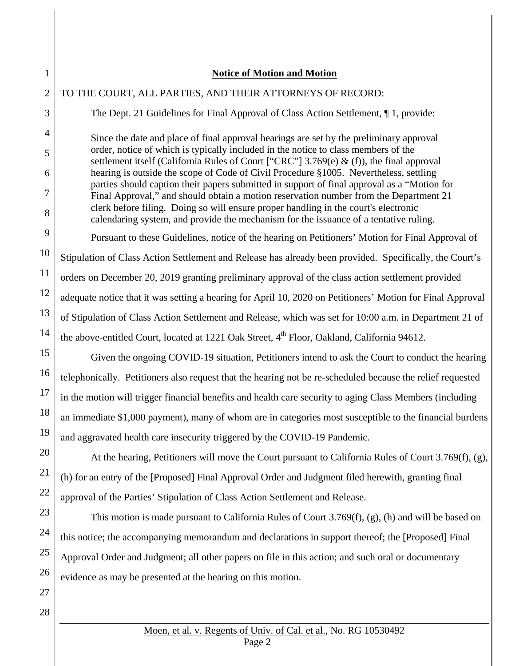## TO THE COURT, ALL PARTIES, AND THEIR ATTORNEYS OF RECORD:

The Dept. 21 Guidelines for Final Approval of Class Action Settlement, ¶ 1, provide:

Since the date and place of final approval hearings are set by the preliminary approval order, notice of which is typically included in the notice to class members of the settlement itself (California Rules of Court ["CRC"]  $3.769(e)$  & (f)), the final approval hearing is outside the scope of Code of Civil Procedure §1005. Nevertheless, settling parties should caption their papers submitted in support of final approval as a "Motion for Final Approval," and should obtain a motion reservation number from the Department 21 clerk before filing. Doing so will ensure proper handling in the court's electronic calendaring system, and provide the mechanism for the issuance of a tentative ruling.

Pursuant to these Guidelines, notice of the hearing on Petitioners' Motion for Final Approval of Stipulation of Class Action Settlement and Release has already been provided. Specifically, the Court's orders on December 20, 2019 granting preliminary approval of the class action settlement provided adequate notice that it was setting a hearing for April 10, 2020 on Petitioners' Motion for Final Approval of Stipulation of Class Action Settlement and Release, which was set for 10:00 a.m. in Department 21 of the above-entitled Court, located at 1221 Oak Street, 4<sup>th</sup> Floor, Oakland, California 94612.

Given the ongoing COVID-19 situation, Petitioners intend to ask the Court to conduct the hearing telephonically. Petitioners also request that the hearing not be re-scheduled because the relief requested in the motion will trigger financial benefits and health care security to aging Class Members (including an immediate \$1,000 payment), many of whom are in categories most susceptible to the financial burdens and aggravated health care insecurity triggered by the COVID-19 Pandemic.

At the hearing, Petitioners will move the Court pursuant to California Rules of Court 3.769(f), (g), (h) for an entry of the [Proposed] Final Approval Order and Judgment filed herewith, granting final approval of the Parties' Stipulation of Class Action Settlement and Release.

This motion is made pursuant to California Rules of Court 3.769(f), (g), (h) and will be based on this notice; the accompanying memorandum and declarations in support thereof; the [Proposed] Final Approval Order and Judgment; all other papers on file in this action; and such oral or documentary evidence as may be presented at the hearing on this motion.

1

2

3

4

5

6

7

8

9

10

11

12

13

14

15

16

17

18

19

20

21

22

23

24